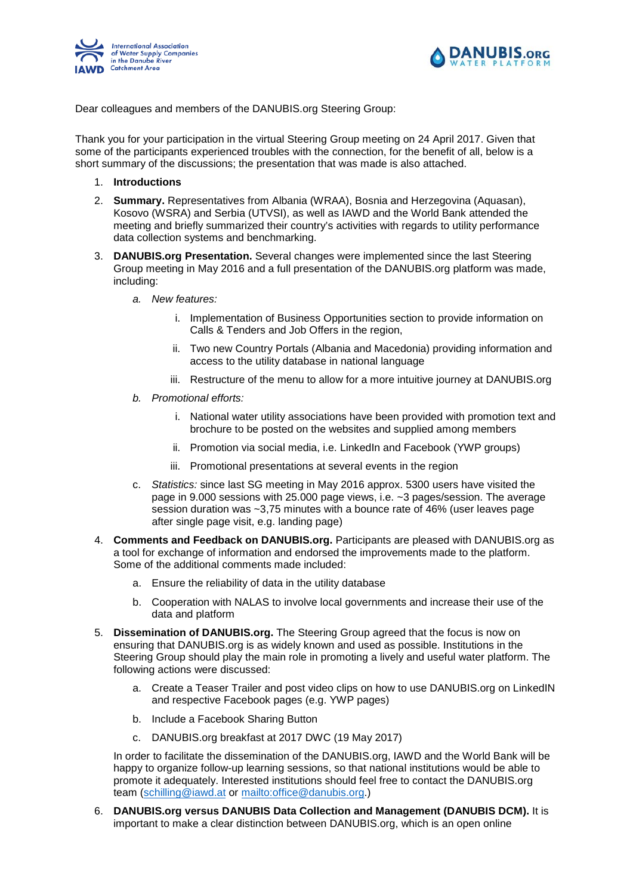



Dear colleagues and members of the DANUBIS.org Steering Group:

Thank you for your participation in the virtual Steering Group meeting on 24 April 2017. Given that some of the participants experienced troubles with the connection, for the benefit of all, below is a short summary of the discussions; the presentation that was made is also attached.

- 1. **Introductions**
- 2. **Summary.** Representatives from Albania (WRAA), Bosnia and Herzegovina (Aquasan), Kosovo (WSRA) and Serbia (UTVSI), as well as IAWD and the World Bank attended the meeting and briefly summarized their country's activities with regards to utility performance data collection systems and benchmarking.
- 3. **DANUBIS.org Presentation.** Several changes were implemented since the last Steering Group meeting in May 2016 and a full presentation of the DANUBIS.org platform was made, including:
	- *a. New features:* 
		- i. Implementation of Business Opportunities section to provide information on Calls & Tenders and Job Offers in the region,
		- ii. Two new Country Portals (Albania and Macedonia) providing information and access to the utility database in national language
		- iii. Restructure of the menu to allow for a more intuitive journey at DANUBIS.org
	- *b. Promotional efforts:*
		- i. National water utility associations have been provided with promotion text and brochure to be posted on the websites and supplied among members
		- ii. Promotion via social media, i.e. LinkedIn and Facebook (YWP groups)
		- iii. Promotional presentations at several events in the region
	- c. *Statistics:* since last SG meeting in May 2016 approx. 5300 users have visited the page in 9.000 sessions with 25.000 page views, i.e. ~3 pages/session. The average session duration was ~3,75 minutes with a bounce rate of 46% (user leaves page after single page visit, e.g. landing page)
- 4. **Comments and Feedback on DANUBIS.org.** Participants are pleased with DANUBIS.org as a tool for exchange of information and endorsed the improvements made to the platform. Some of the additional comments made included:
	- a. Ensure the reliability of data in the utility database
	- b. Cooperation with NALAS to involve local governments and increase their use of the data and platform
- 5. **Dissemination of DANUBIS.org.** The Steering Group agreed that the focus is now on ensuring that DANUBIS.org is as widely known and used as possible. Institutions in the Steering Group should play the main role in promoting a lively and useful water platform. The following actions were discussed:
	- a. Create a Teaser Trailer and post video clips on how to use DANUBIS.org on LinkedIN and respective Facebook pages (e.g. YWP pages)
	- b. Include a Facebook Sharing Button
	- c. DANUBIS.org breakfast at 2017 DWC (19 May 2017)

In order to facilitate the dissemination of the DANUBIS.org, IAWD and the World Bank will be happy to organize follow-up learning sessions, so that national institutions would be able to promote it adequately. Interested institutions should feel free to contact the DANUBIS.org team [\(schilling@iawd.at](mailto:schilling@iawd.at) or [mailto:office@danubis.org.](mailto:office@danubis.org))

6. **DANUBIS.org versus DANUBIS Data Collection and Management (DANUBIS DCM).** It is important to make a clear distinction between DANUBIS.org, which is an open online